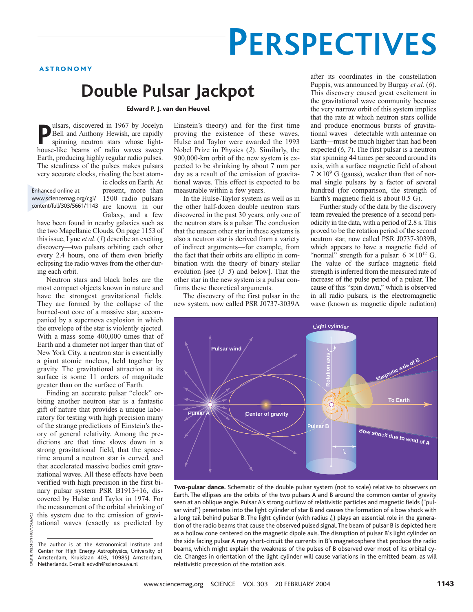# **PERSPECTIVES**

ASTRONOMY

## **Double Pulsar Jackpot**

Edward P. J. van den Heuvel

**P** leads and Anthony Hewish, are rapidly spinning neutron stars whose lighthouse-like beams of radio waves sweep ulsars, discovered in 1967 by Jocelyn Bell and Anthony Hewish, are rapidly spinning neutron stars whose light-Earth, producing highly regular radio pulses. The steadiness of the pulses makes pulsars very accurate clocks, rivaling the best atom-

www.sciencemag.org/cgi/ 1500 radio pulsars content/full/303/5661/1143 are known in our Enhanced online at

ic clocks on Earth. At present, more than Galaxy, and a few

have been found in nearby galaxies such as the two Magellanic Clouds. On page 1153 of this issue, Lyne *et al*. (*1*) describe an exciting discovery—two pulsars orbiting each other every 2.4 hours, one of them even briefly eclipsing the radio waves from the other during each orbit.

Neutron stars and black holes are the most compact objects known in nature and have the strongest gravitational fields. They are formed by the collapse of the burned-out core of a massive star, accompanied by a supernova explosion in which the envelope of the star is violently ejected. With a mass some 400,000 times that of Earth and a diameter not larger than that of New York City, a neutron star is essentially a giant atomic nucleus, held together by gravity. The gravitational attraction at its surface is some 11 orders of magnitude greater than on the surface of Earth.

Finding an accurate pulsar "clock" orbiting another neutron star is a fantastic gift of nature that provides a unique laboratory for testing with high precision many of the strange predictions of Einstein's theory of general relativity. Among the predictions are that time slows down in a strong gravitational field, that the spacetime around a neutron star is curved, and that accelerated massive bodies emit gravitational waves. All these effects have been verified with high precision in the first binary pulsar system PSR B1913+16, discovered by Hulse and Taylor in 1974. For the measurement of the orbital shrinking of this system due to the emission of gravitational waves (exactly as predicted by

CREDIT: PRESTON HUEY/SCIENCE

PRESTON

SCIENCE

Einstein's theory) and for the first time proving the existence of these waves, Hulse and Taylor were awarded the 1993 Nobel Prize in Physics (*2*). Similarly, the 900,000-km orbit of the new system is expected to be shrinking by about 7 mm per day as a result of the emission of gravitational waves. This effect is expected to be measurable within a few years.

In the Hulse-Taylor system as well as in the other half-dozen double neutron stars discovered in the past 30 years, only one of the neutron stars is a pulsar. The conclusion that the unseen other star in these systems is also a neutron star is derived from a variety of indirect arguments—for example, from the fact that their orbits are elliptic in combination with the theory of binary stellar evolution [see (*3*–*5*) and below]. That the other star in the new system is a pulsar confirms these theoretical arguments.

The discovery of the first pulsar in the new system, now called PSR J0737-3039A

after its coordinates in the constellation Puppis, was announced by Burgay *et al*. (*6*). This discovery caused great excitement in the gravitational wave community because the very narrow orbit of this system implies that the rate at which neutron stars collide and produce enormous bursts of gravitational waves—detectable with antennae on Earth—must be much higher than had been expected (*6*, *7*). The first pulsar is a neutron star spinning 44 times per second around its axis, with a surface magnetic field of about  $7 \times 10^9$  G (gauss), weaker than that of normal single pulsars by a factor of several hundred (for comparison, the strength of Earth's magnetic field is about 0.5 G).

Further study of the data by the discovery team revealed the presence of a second periodicity in the data, with a period of 2.8 s. This proved to be the rotation period of the second neutron star, now called PSR J0737-3039B, which appears to have a magnetic field of "normal" strength for a pulsar:  $6 \times 10^{12}$  G. The value of the surface magnetic field strength is inferred from the measured rate of increase of the pulse period of a pulsar. The cause of this "spin down," which is observed in all radio pulsars, is the electromagnetic wave (known as magnetic dipole radiation)



**Two-pulsar dance.** Schematic of the double pulsar system (not to scale) relative to observers on Earth. The ellipses are the orbits of the two pulsars A and B around the common center of gravity seen at an oblique angle. Pulsar A's strong outflow of relativistic particles and magnetic fields ("pulsar wind") penetrates into the light cylinder of star B and causes the formation of a bow shock with a long tail behind pulsar B. The light cylinder (with radius  $l_c$ ) plays an essential role in the generation of the radio beams that cause the observed pulsed signal.The beam of pulsar B is depicted here as a hollow cone centered on the magnetic dipole axis. The disruption of pulsar B's light cylinder on the side facing pulsar A may short-circuit the currents in B's magnetosphere that produce the radio beams, which might explain the weakness of the pulses of B observed over most of its orbital cycle. Changes in orientation of the light cylinder will cause variations in the emitted beam, as will relativistic precession of the rotation axis.

The author is at the Astronomical Institute and Center for High Energy Astrophysics, University of Amsterdam, Kruislaan 403, 1098SJ Amsterdam, Netherlands. E-mail: edvdh@science.uva.nl